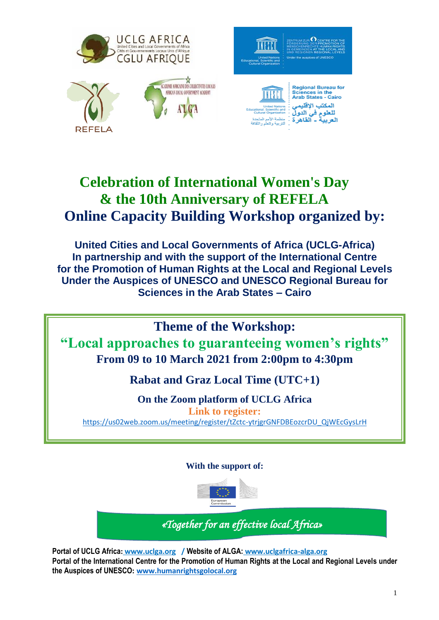

# **Celebration of International Women's Day & the 10th Anniversary of REFELA Online Capacity Building Workshop organized by:**

**United Cities and Local Governments of Africa (UCLG-Africa) In partnership and with the support of the International Centre for the Promotion of Human Rights at the Local and Regional Levels Under the Auspices of UNESCO and UNESCO Regional Bureau for Sciences in the Arab States – Cairo**

**Theme of the Workshop: "Local approaches to guaranteeing women's rights" From 09 to 10 March 2021 from 2:00pm to 4:30pm** 

**Rabat and Graz Local Time (UTC+1)**

**On the Zoom platform of UCLG Africa Link to register:** [https://us02web.zoom.us/meeting/register/tZctc-ytrjgrGNFDBEozcrDU\\_QjWEcGysLrH](https://us02web.zoom.us/meeting/register/tZctc-ytrjgrGNFDBEozcrDU_QjWEcGysLrH)

# **With the support of:**



*«Together for an effective local Africa»*

**Portal of UCLG Africa: www.uclga.org / Website of ALGA: www.uclgafrica-alga.org Portal of the International Centre for the Promotion of Human Rights at the Local and Regional Levels under the Auspices of UNESCO: [www.humanrightsgolocal.org](http://www.humanrightsgolocal.org/)**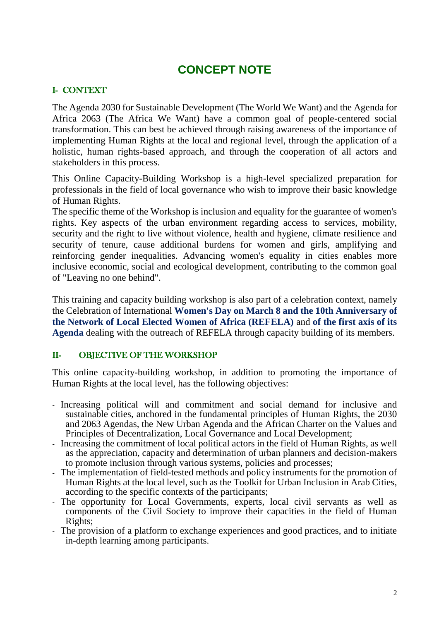# **CONCEPT NOTE**

### I- CONTEXT

The Agenda 2030 for Sustainable Development (The World We Want) and the Agenda for Africa 2063 (The Africa We Want) have a common goal of people-centered social transformation. This can best be achieved through raising awareness of the importance of implementing Human Rights at the local and regional level, through the application of a holistic, human rights-based approach, and through the cooperation of all actors and stakeholders in this process.

This Online Capacity-Building Workshop is a high-level specialized preparation for professionals in the field of local governance who wish to improve their basic knowledge of Human Rights.

The specific theme of the Workshop is inclusion and equality for the guarantee of women's rights. Key aspects of the urban environment regarding access to services, mobility, security and the right to live without violence, health and hygiene, climate resilience and security of tenure, cause additional burdens for women and girls, amplifying and reinforcing gender inequalities. Advancing women's equality in cities enables more inclusive economic, social and ecological development, contributing to the common goal of "Leaving no one behind".

This training and capacity building workshop is also part of a celebration context, namely the Celebration of International **Women's Day on March 8 and the 10th Anniversary of the Network of Local Elected Women of Africa (REFELA)** and **of the first axis of its Agenda** dealing with the outreach of REFELA through capacity building of its members.

#### II- OBJECTIVE OF THE WORKSHOP

This online capacity-building workshop, in addition to promoting the importance of Human Rights at the local level, has the following objectives:

- Increasing political will and commitment and social demand for inclusive and sustainable cities, anchored in the fundamental principles of Human Rights, the 2030 and 2063 Agendas, the New Urban Agenda and the African Charter on the Values and Principles of Decentralization, Local Governance and Local Development;
- Increasing the commitment of local political actors in the field of Human Rights, as well as the appreciation, capacity and determination of urban planners and decision-makers to promote inclusion through various systems, policies and processes;
- The implementation of field-tested methods and policy instruments for the promotion of Human Rights at the local level, such as the Toolkit for Urban Inclusion in Arab Cities, according to the specific contexts of the participants;
- The opportunity for Local Governments, experts, local civil servants as well as components of the Civil Society to improve their capacities in the field of Human Rights;
- The provision of a platform to exchange experiences and good practices, and to initiate in-depth learning among participants.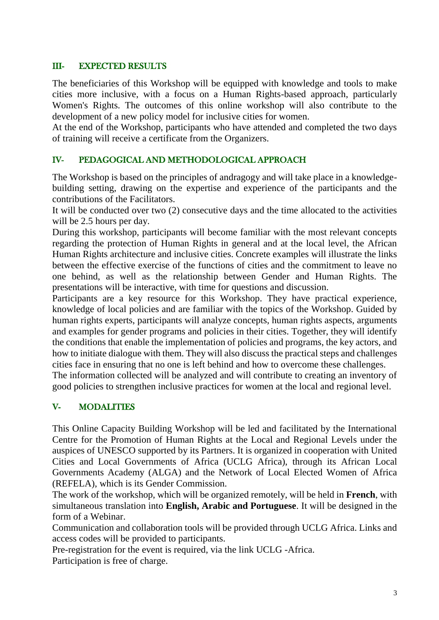### III- EXPECTED RESULTS

The beneficiaries of this Workshop will be equipped with knowledge and tools to make cities more inclusive, with a focus on a Human Rights-based approach, particularly Women's Rights. The outcomes of this online workshop will also contribute to the development of a new policy model for inclusive cities for women.

At the end of the Workshop, participants who have attended and completed the two days of training will receive a certificate from the Organizers.

#### IV- PEDAGOGICAL AND METHODOLOGICAL APPROACH

The Workshop is based on the principles of andragogy and will take place in a knowledgebuilding setting, drawing on the expertise and experience of the participants and the contributions of the Facilitators.

It will be conducted over two (2) consecutive days and the time allocated to the activities will be 2.5 hours per day.

During this workshop, participants will become familiar with the most relevant concepts regarding the protection of Human Rights in general and at the local level, the African Human Rights architecture and inclusive cities. Concrete examples will illustrate the links between the effective exercise of the functions of cities and the commitment to leave no one behind, as well as the relationship between Gender and Human Rights. The presentations will be interactive, with time for questions and discussion.

Participants are a key resource for this Workshop. They have practical experience, knowledge of local policies and are familiar with the topics of the Workshop. Guided by human rights experts, participants will analyze concepts, human rights aspects, arguments and examples for gender programs and policies in their cities. Together, they will identify the conditions that enable the implementation of policies and programs, the key actors, and how to initiate dialogue with them. They will also discuss the practical steps and challenges cities face in ensuring that no one is left behind and how to overcome these challenges. The information collected will be analyzed and will contribute to creating an inventory of good policies to strengthen inclusive practices for women at the local and regional level.

# V- MODALITIES

This Online Capacity Building Workshop will be led and facilitated by the International Centre for the Promotion of Human Rights at the Local and Regional Levels under the auspices of UNESCO supported by its Partners. It is organized in cooperation with United Cities and Local Governments of Africa (UCLG Africa), through its African Local Governments Academy (ALGA) and the Network of Local Elected Women of Africa (REFELA), which is its Gender Commission.

The work of the workshop, which will be organized remotely, will be held in **French**, with simultaneous translation into **English, Arabic and Portuguese**. It will be designed in the form of a Webinar.

Communication and collaboration tools will be provided through UCLG Africa. Links and access codes will be provided to participants.

Pre-registration for the event is required, via the link UCLG -Africa. Participation is free of charge.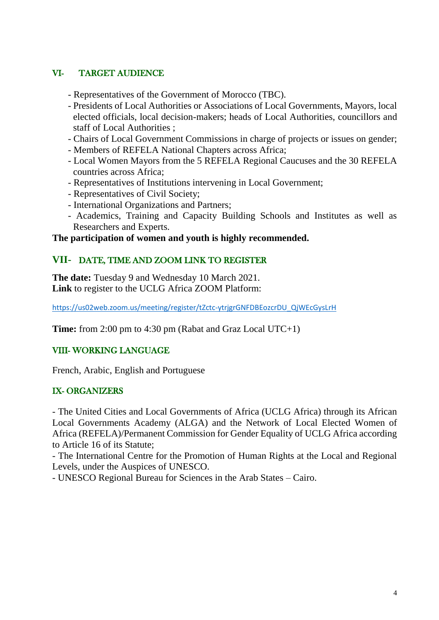# VI- TARGET AUDIENCE

- Representatives of the Government of Morocco (TBC).
- Presidents of Local Authorities or Associations of Local Governments, Mayors, local elected officials, local decision-makers; heads of Local Authorities, councillors and staff of Local Authorities ;
- Chairs of Local Government Commissions in charge of projects or issues on gender;
- Members of REFELA National Chapters across Africa;
- Local Women Mayors from the 5 REFELA Regional Caucuses and the 30 REFELA countries across Africa;
- Representatives of Institutions intervening in Local Government;
- Representatives of Civil Society;
- International Organizations and Partners;
- Academics, Training and Capacity Building Schools and Institutes as well as Researchers and Experts.

#### **The participation of women and youth is highly recommended.**

### **VII-** DATE, TIME AND ZOOM LINK TO REGISTER

**The date:** Tuesday 9 and Wednesday 10 March 2021. **Link** to register to the UCLG Africa ZOOM Platform:

[https://us02web.zoom.us/meeting/register/tZctc-ytrjgrGNFDBEozcrDU\\_QjWEcGysLrH](https://us02web.zoom.us/meeting/register/tZctc-ytrjgrGNFDBEozcrDU_QjWEcGysLrH)

**Time:** from 2:00 pm to 4:30 pm (Rabat and Graz Local UTC+1)

#### VIII- WORKING LANGUAGE

French, Arabic, English and Portuguese

#### IX- ORGANIZERS

- The United Cities and Local Governments of Africa (UCLG Africa) through its African Local Governments Academy (ALGA) and the Network of Local Elected Women of Africa (REFELA)/Permanent Commission for Gender Equality of UCLG Africa according to Article 16 of its Statute;

- The International Centre for the Promotion of Human Rights at the Local and Regional Levels, under the Auspices of UNESCO.

- UNESCO Regional Bureau for Sciences in the Arab States – Cairo.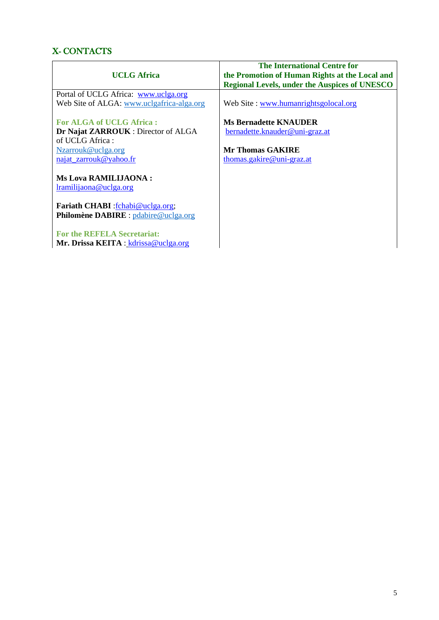# X- CONTACTS

|                                           | <b>The International Centre for</b>                  |
|-------------------------------------------|------------------------------------------------------|
| <b>UCLG</b> Africa                        | the Promotion of Human Rights at the Local and       |
|                                           | <b>Regional Levels, under the Auspices of UNESCO</b> |
| Portal of UCLG Africa: www.uclga.org      |                                                      |
| Web Site of ALGA: www.uclgafrica-alga.org | Web Site: www.humanrightsgolocal.org                 |
|                                           |                                                      |
| <b>For ALGA of UCLG Africa:</b>           | <b>Ms Bernadette KNAUDER</b>                         |
| Dr Najat ZARROUK : Director of ALGA       | bernadette.knauder@uni-graz.at                       |
| of UCLG Africa:                           |                                                      |
| Nzarrouk@uclga.org                        | Mr Thomas GAKIRE                                     |
| najat_zarrouk@yahoo.fr                    | thomas.gakire@uni-graz.at                            |
| <b>Ms Lova RAMILIJAONA:</b>               |                                                      |
|                                           |                                                      |
| lramilijaona@uclga.org                    |                                                      |
| Fariath CHABI : fchabi@uclga.org;         |                                                      |
| Philomène DABIRE : pdabire@uclga.org      |                                                      |
|                                           |                                                      |
| <b>For the REFELA Secretariat:</b>        |                                                      |
| Mr. Drissa KEITA : $kdrissa@uclga.org$    |                                                      |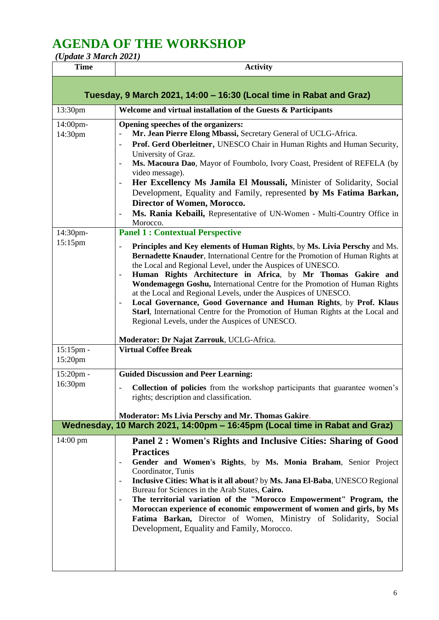# **AGENDA OF THE WORKSHOP**

| (Update 3 March 2021) |  |
|-----------------------|--|
|                       |  |

15:15pm -

| <b>Time</b>                                                         | <b>Activity</b>                                                                                                                                                                                                                                                                                                                                                                                                                                                                                                                                                                                                                                                             |  |
|---------------------------------------------------------------------|-----------------------------------------------------------------------------------------------------------------------------------------------------------------------------------------------------------------------------------------------------------------------------------------------------------------------------------------------------------------------------------------------------------------------------------------------------------------------------------------------------------------------------------------------------------------------------------------------------------------------------------------------------------------------------|--|
| Tuesday, 9 March 2021, 14:00 - 16:30 (Local time in Rabat and Graz) |                                                                                                                                                                                                                                                                                                                                                                                                                                                                                                                                                                                                                                                                             |  |
| 13:30pm                                                             | Welcome and virtual installation of the Guests & Participants                                                                                                                                                                                                                                                                                                                                                                                                                                                                                                                                                                                                               |  |
| 14:00pm-<br>14:30pm                                                 | Opening speeches of the organizers:<br>Mr. Jean Pierre Elong Mbassi, Secretary General of UCLG-Africa.<br>Prof. Gerd Oberleitner, UNESCO Chair in Human Rights and Human Security,<br>$\overline{a}$<br>University of Graz.<br>Ms. Macoura Dao, Mayor of Foumbolo, Ivory Coast, President of REFELA (by<br>$\overline{\phantom{a}}$<br>video message).<br>Her Excellency Ms Jamila El Moussali, Minister of Solidarity, Social<br>$\overline{\phantom{a}}$<br>Development, Equality and Family, represented by Ms Fatima Barkan,<br>Director of Women, Morocco.<br>Ms. Rania Kebaili, Representative of UN-Women - Multi-Country Office in<br>$\qquad \qquad -$<br>Morocco. |  |
| 14:30pm-<br>15:15pm                                                 | <b>Panel 1: Contextual Perspective</b>                                                                                                                                                                                                                                                                                                                                                                                                                                                                                                                                                                                                                                      |  |
|                                                                     | Principles and Key elements of Human Rights, by Ms. Livia Perschy and Ms.<br>$\qquad \qquad -$<br><b>Bernadette Knauder, International Centre for the Promotion of Human Rights at</b><br>the Local and Regional Level, under the Auspices of UNESCO.<br>Human Rights Architecture in Africa, by Mr Thomas Gakire and<br>$\qquad \qquad -$<br><b>Wondemagegn Goshu, International Centre for the Promotion of Human Rights</b><br>at the Local and Regional Levels, under the Auspices of UNESCO.                                                                                                                                                                           |  |

- **Local Governance, Good Governance and Human Rights**, by **Prof. Klaus Starl**, International Centre for the Promotion of Human Rights at the Local and Regional Levels, under the Auspices of UNESCO.

#### **Moderator: Dr Najat Zarrouk**, UCLG-Africa. **Virtual Coffee Break**

| Wednesday, 10 March 2021, 14:00pm - 16:45pm (Local time in Rabat and Graz) |                                                                                                                                                                               |
|----------------------------------------------------------------------------|-------------------------------------------------------------------------------------------------------------------------------------------------------------------------------|
|                                                                            | Moderator: Ms Livia Perschy and Mr. Thomas Gakire.                                                                                                                            |
| $15:20$ pm -<br>16:30 <sub>pm</sub>                                        | <b>Guided Discussion and Peer Learning:</b><br><b>Collection of policies</b> from the workshop participants that guarantee women's<br>rights; description and classification. |
|                                                                            |                                                                                                                                                                               |
| 15:20 <sub>pm</sub>                                                        |                                                                                                                                                                               |

# 14:00 pm **Panel 2 : Women's Rights and Inclusive Cities: Sharing of Good Practices**

- **Gender and Women's Rights**, by **Ms. Monia Braham**, Senior Project Coordinator, Tunis
	- **Inclusive Cities: What is it all about**? by **Ms. Jana El-Baba**, UNESCO Regional Bureau for Sciences in the Arab States, **Cairo.**
- **The territorial variation of the "Morocco Empowerment" Program, the Moroccan experience of economic empowerment of women and girls, by Ms Fatima Barkan,** Director of Women, Ministry of Solidarity, Social Development, Equality and Family, Morocco.